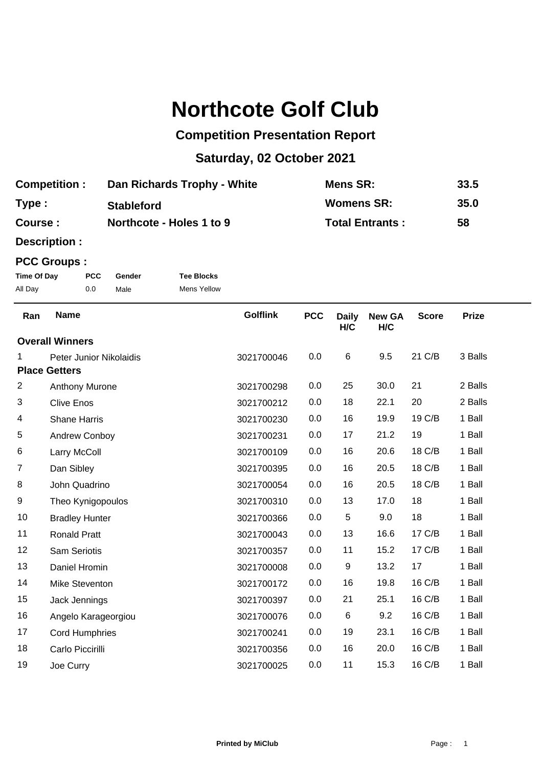# **Northcote Golf Club**

## **Competition Presentation Report**

## **Saturday, 02 October 2021**

| <b>Competition:</b> | Dan Richards Trophy - White | Mens SR:               | 33.5 |
|---------------------|-----------------------------|------------------------|------|
| Type:               | <b>Stableford</b>           | <b>Womens SR:</b>      | 35.0 |
| Course:             | Northcote - Holes 1 to 9    | <b>Total Entrants:</b> | 58   |

**Description :**

#### **PCC Groups :**

| Time Of Day | <b>PCC</b> | Gender | <b>Tee Blocks</b>  |
|-------------|------------|--------|--------------------|
| All Day     | 0.0        | Male   | <b>Mens Yellow</b> |

| Ran            | <b>Name</b>             | <b>Golflink</b> | <b>PCC</b> | <b>Daily</b>     | <b>New GA</b> | <b>Score</b> | <b>Prize</b> |  |
|----------------|-------------------------|-----------------|------------|------------------|---------------|--------------|--------------|--|
|                |                         |                 |            | H/C              | H/C           |              |              |  |
|                | <b>Overall Winners</b>  |                 |            |                  |               |              |              |  |
| 1              | Peter Junior Nikolaidis | 3021700046      | 0.0        | $\,6$            | 9.5           | 21 C/B       | 3 Balls      |  |
|                | <b>Place Getters</b>    |                 |            |                  |               |              |              |  |
| $\overline{2}$ | Anthony Murone          | 3021700298      | 0.0        | 25               | 30.0          | 21           | 2 Balls      |  |
| 3              | <b>Clive Enos</b>       | 3021700212      | 0.0        | 18               | 22.1          | 20           | 2 Balls      |  |
| 4              | <b>Shane Harris</b>     | 3021700230      | 0.0        | 16               | 19.9          | 19 C/B       | 1 Ball       |  |
| 5              | Andrew Conboy           | 3021700231      | 0.0        | 17               | 21.2          | 19           | 1 Ball       |  |
| 6              | Larry McColl            | 3021700109      | 0.0        | 16               | 20.6          | 18 C/B       | 1 Ball       |  |
| $\overline{7}$ | Dan Sibley              | 3021700395      | 0.0        | 16               | 20.5          | 18 C/B       | 1 Ball       |  |
| 8              | John Quadrino           | 3021700054      | 0.0        | 16               | 20.5          | 18 C/B       | 1 Ball       |  |
| 9              | Theo Kynigopoulos       | 3021700310      | 0.0        | 13               | 17.0          | 18           | 1 Ball       |  |
| 10             | <b>Bradley Hunter</b>   | 3021700366      | 0.0        | 5                | 9.0           | 18           | 1 Ball       |  |
| 11             | <b>Ronald Pratt</b>     | 3021700043      | 0.0        | 13               | 16.6          | 17 C/B       | 1 Ball       |  |
| 12             | Sam Seriotis            | 3021700357      | 0.0        | 11               | 15.2          | 17 C/B       | 1 Ball       |  |
| 13             | Daniel Hromin           | 3021700008      | 0.0        | $\boldsymbol{9}$ | 13.2          | 17           | 1 Ball       |  |
| 14             | Mike Steventon          | 3021700172      | 0.0        | 16               | 19.8          | 16 C/B       | 1 Ball       |  |
| 15             | Jack Jennings           | 3021700397      | 0.0        | 21               | 25.1          | 16 C/B       | 1 Ball       |  |
| 16             | Angelo Karageorgiou     | 3021700076      | 0.0        | $\,6$            | 9.2           | 16 C/B       | 1 Ball       |  |
| 17             | <b>Cord Humphries</b>   | 3021700241      | 0.0        | 19               | 23.1          | 16 C/B       | 1 Ball       |  |
| 18             | Carlo Piccirilli        | 3021700356      | 0.0        | 16               | 20.0          | 16 C/B       | 1 Ball       |  |
| 19             | Joe Curry               | 3021700025      | 0.0        | 11               | 15.3          | 16 C/B       | 1 Ball       |  |